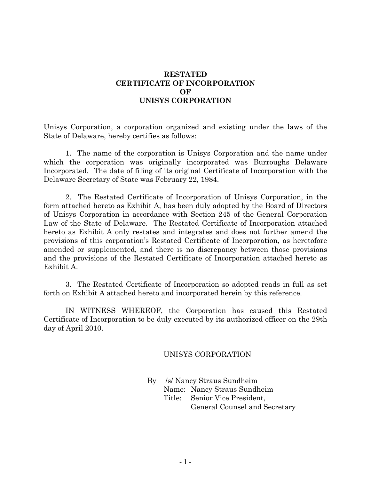## **RESTATED CERTIFICATE OF INCORPORATION OF UNISYS CORPORATION**

Unisys Corporation, a corporation organized and existing under the laws of the State of Delaware, hereby certifies as follows:

1. The name of the corporation is Unisys Corporation and the name under which the corporation was originally incorporated was Burroughs Delaware Incorporated. The date of filing of its original Certificate of Incorporation with the Delaware Secretary of State was February 22, 1984.

2. The Restated Certificate of Incorporation of Unisys Corporation, in the form attached hereto as Exhibit A, has been duly adopted by the Board of Directors of Unisys Corporation in accordance with Section 245 of the General Corporation Law of the State of Delaware. The Restated Certificate of Incorporation attached hereto as Exhibit A only restates and integrates and does not further amend the provisions of this corporation's Restated Certificate of Incorporation, as heretofore amended or supplemented, and there is no discrepancy between those provisions and the provisions of the Restated Certificate of Incorporation attached hereto as Exhibit A.

3. The Restated Certificate of Incorporation so adopted reads in full as set forth on Exhibit A attached hereto and incorporated herein by this reference.

IN WITNESS WHEREOF, the Corporation has caused this Restated Certificate of Incorporation to be duly executed by its authorized officer on the 29th day of April 2010.

## UNISYS CORPORATION

By /s/ Nancy Straus Sundheim Name: Nancy Straus Sundheim Title: Senior Vice President, General Counsel and Secretary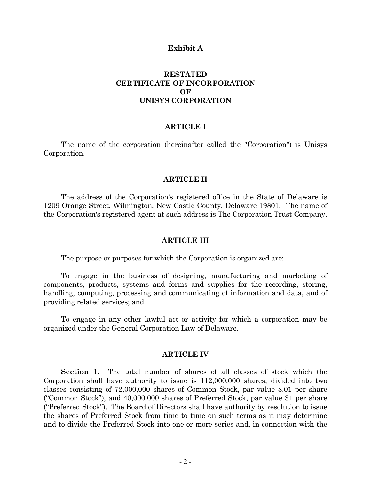#### **Exhibit A**

# **RESTATED CERTIFICATE OF INCORPORATION OF UNISYS CORPORATION**

### **ARTICLE I**

The name of the corporation (hereinafter called the "Corporation") is Unisys Corporation.

#### **ARTICLE II**

The address of the Corporation's registered office in the State of Delaware is 1209 Orange Street, Wilmington, New Castle County, Delaware 19801. The name of the Corporation's registered agent at such address is The Corporation Trust Company.

#### **ARTICLE III**

The purpose or purposes for which the Corporation is organized are:

To engage in the business of designing, manufacturing and marketing of components, products, systems and forms and supplies for the recording, storing, handling, computing, processing and communicating of information and data, and of providing related services; and

To engage in any other lawful act or activity for which a corporation may be organized under the General Corporation Law of Delaware.

### **ARTICLE IV**

**Section 1.** The total number of shares of all classes of stock which the Corporation shall have authority to issue is 112,000,000 shares, divided into two classes consisting of 72,000,000 shares of Common Stock, par value \$.01 per share ("Common Stock"), and 40,000,000 shares of Preferred Stock, par value \$1 per share ("Preferred Stock"). The Board of Directors shall have authority by resolution to issue the shares of Preferred Stock from time to time on such terms as it may determine and to divide the Preferred Stock into one or more series and, in connection with the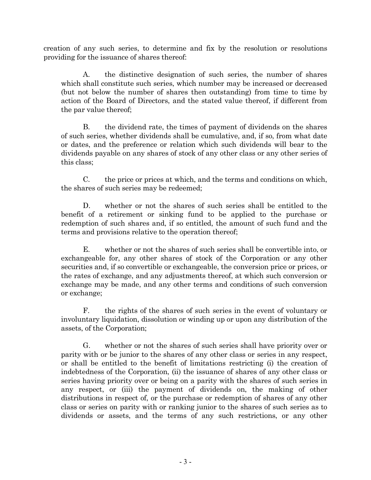creation of any such series, to determine and fix by the resolution or resolutions providing for the issuance of shares thereof:

A. the distinctive designation of such series, the number of shares which shall constitute such series, which number may be increased or decreased (but not below the number of shares then outstanding) from time to time by action of the Board of Directors, and the stated value thereof, if different from the par value thereof;

B. the dividend rate, the times of payment of dividends on the shares of such series, whether dividends shall be cumulative, and, if so, from what date or dates, and the preference or relation which such dividends will bear to the dividends payable on any shares of stock of any other class or any other series of this class;

C. the price or prices at which, and the terms and conditions on which, the shares of such series may be redeemed;

D. whether or not the shares of such series shall be entitled to the benefit of a retirement or sinking fund to be applied to the purchase or redemption of such shares and, if so entitled, the amount of such fund and the terms and provisions relative to the operation thereof;

E. whether or not the shares of such series shall be convertible into, or exchangeable for, any other shares of stock of the Corporation or any other securities and, if so convertible or exchangeable, the conversion price or prices, or the rates of exchange, and any adjustments thereof, at which such conversion or exchange may be made, and any other terms and conditions of such conversion or exchange;

F. the rights of the shares of such series in the event of voluntary or involuntary liquidation, dissolution or winding up or upon any distribution of the assets, of the Corporation;

G. whether or not the shares of such series shall have priority over or parity with or be junior to the shares of any other class or series in any respect, or shall be entitled to the benefit of limitations restricting (i) the creation of indebtedness of the Corporation, (ii) the issuance of shares of any other class or series having priority over or being on a parity with the shares of such series in any respect, or (iii) the payment of dividends on, the making of other distributions in respect of, or the purchase or redemption of shares of any other class or series on parity with or ranking junior to the shares of such series as to dividends or assets, and the terms of any such restrictions, or any other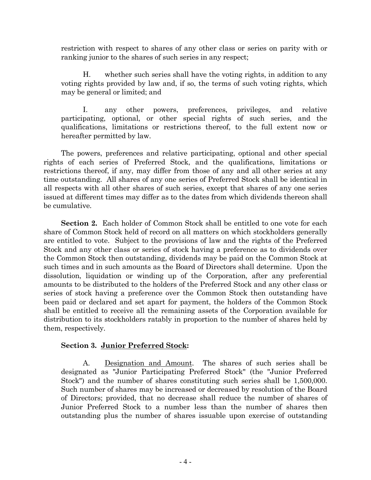restriction with respect to shares of any other class or series on parity with or ranking junior to the shares of such series in any respect;

H. whether such series shall have the voting rights, in addition to any voting rights provided by law and, if so, the terms of such voting rights, which may be general or limited; and

I. any other powers, preferences, privileges, and relative participating, optional, or other special rights of such series, and the qualifications, limitations or restrictions thereof, to the full extent now or hereafter permitted by law.

The powers, preferences and relative participating, optional and other special rights of each series of Preferred Stock, and the qualifications, limitations or restrictions thereof, if any, may differ from those of any and all other series at any time outstanding. All shares of any one series of Preferred Stock shall be identical in all respects with all other shares of such series, except that shares of any one series issued at different times may differ as to the dates from which dividends thereon shall be cumulative.

**Section 2.** Each holder of Common Stock shall be entitled to one vote for each share of Common Stock held of record on all matters on which stockholders generally are entitled to vote. Subject to the provisions of law and the rights of the Preferred Stock and any other class or series of stock having a preference as to dividends over the Common Stock then outstanding, dividends may be paid on the Common Stock at such times and in such amounts as the Board of Directors shall determine. Upon the dissolution, liquidation or winding up of the Corporation, after any preferential amounts to be distributed to the holders of the Preferred Stock and any other class or series of stock having a preference over the Common Stock then outstanding have been paid or declared and set apart for payment, the holders of the Common Stock shall be entitled to receive all the remaining assets of the Corporation available for distribution to its stockholders ratably in proportion to the number of shares held by them, respectively.

### **Section 3. Junior Preferred Stock:**

A. Designation and Amount. The shares of such series shall be designated as "Junior Participating Preferred Stock" (the "Junior Preferred Stock") and the number of shares constituting such series shall be 1,500,000. Such number of shares may be increased or decreased by resolution of the Board of Directors; provided, that no decrease shall reduce the number of shares of Junior Preferred Stock to a number less than the number of shares then outstanding plus the number of shares issuable upon exercise of outstanding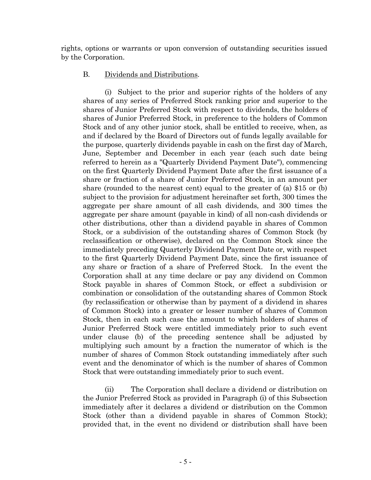rights, options or warrants or upon conversion of outstanding securities issued by the Corporation.

# B. Dividends and Distributions.

(i) Subject to the prior and superior rights of the holders of any shares of any series of Preferred Stock ranking prior and superior to the shares of Junior Preferred Stock with respect to dividends, the holders of shares of Junior Preferred Stock, in preference to the holders of Common Stock and of any other junior stock, shall be entitled to receive, when, as and if declared by the Board of Directors out of funds legally available for the purpose, quarterly dividends payable in cash on the first day of March, June, September and December in each year (each such date being referred to herein as a "Quarterly Dividend Payment Date"), commencing on the first Quarterly Dividend Payment Date after the first issuance of a share or fraction of a share of Junior Preferred Stock, in an amount per share (rounded to the nearest cent) equal to the greater of (a) \$15 or (b) subject to the provision for adjustment hereinafter set forth, 300 times the aggregate per share amount of all cash dividends, and 300 times the aggregate per share amount (payable in kind) of all non-cash dividends or other distributions, other than a dividend payable in shares of Common Stock, or a subdivision of the outstanding shares of Common Stock (by reclassification or otherwise), declared on the Common Stock since the immediately preceding Quarterly Dividend Payment Date or, with respect to the first Quarterly Dividend Payment Date, since the first issuance of any share or fraction of a share of Preferred Stock. In the event the Corporation shall at any time declare or pay any dividend on Common Stock payable in shares of Common Stock, or effect a subdivision or combination or consolidation of the outstanding shares of Common Stock (by reclassification or otherwise than by payment of a dividend in shares of Common Stock) into a greater or lesser number of shares of Common Stock, then in each such case the amount to which holders of shares of Junior Preferred Stock were entitled immediately prior to such event under clause (b) of the preceding sentence shall be adjusted by multiplying such amount by a fraction the numerator of which is the number of shares of Common Stock outstanding immediately after such event and the denominator of which is the number of shares of Common Stock that were outstanding immediately prior to such event.

(ii) The Corporation shall declare a dividend or distribution on the Junior Preferred Stock as provided in Paragraph (i) of this Subsection immediately after it declares a dividend or distribution on the Common Stock (other than a dividend payable in shares of Common Stock); provided that, in the event no dividend or distribution shall have been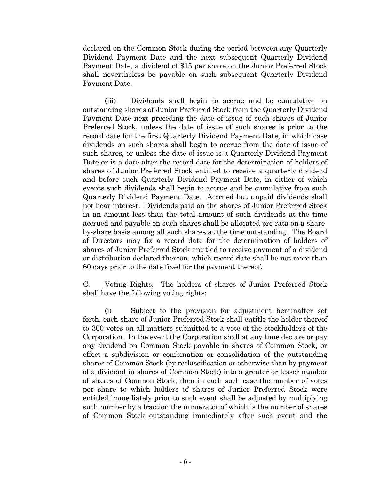declared on the Common Stock during the period between any Quarterly Dividend Payment Date and the next subsequent Quarterly Dividend Payment Date, a dividend of \$15 per share on the Junior Preferred Stock shall nevertheless be payable on such subsequent Quarterly Dividend Payment Date.

(iii) Dividends shall begin to accrue and be cumulative on outstanding shares of Junior Preferred Stock from the Quarterly Dividend Payment Date next preceding the date of issue of such shares of Junior Preferred Stock, unless the date of issue of such shares is prior to the record date for the first Quarterly Dividend Payment Date, in which case dividends on such shares shall begin to accrue from the date of issue of such shares, or unless the date of issue is a Quarterly Dividend Payment Date or is a date after the record date for the determination of holders of shares of Junior Preferred Stock entitled to receive a quarterly dividend and before such Quarterly Dividend Payment Date, in either of which events such dividends shall begin to accrue and be cumulative from such Quarterly Dividend Payment Date. Accrued but unpaid dividends shall not bear interest. Dividends paid on the shares of Junior Preferred Stock in an amount less than the total amount of such dividends at the time accrued and payable on such shares shall be allocated pro rata on a shareby-share basis among all such shares at the time outstanding. The Board of Directors may fix a record date for the determination of holders of shares of Junior Preferred Stock entitled to receive payment of a dividend or distribution declared thereon, which record date shall be not more than 60 days prior to the date fixed for the payment thereof.

C. Voting Rights. The holders of shares of Junior Preferred Stock shall have the following voting rights:

(i) Subject to the provision for adjustment hereinafter set forth, each share of Junior Preferred Stock shall entitle the holder thereof to 300 votes on all matters submitted to a vote of the stockholders of the Corporation. In the event the Corporation shall at any time declare or pay any dividend on Common Stock payable in shares of Common Stock, or effect a subdivision or combination or consolidation of the outstanding shares of Common Stock (by reclassification or otherwise than by payment of a dividend in shares of Common Stock) into a greater or lesser number of shares of Common Stock, then in each such case the number of votes per share to which holders of shares of Junior Preferred Stock were entitled immediately prior to such event shall be adjusted by multiplying such number by a fraction the numerator of which is the number of shares of Common Stock outstanding immediately after such event and the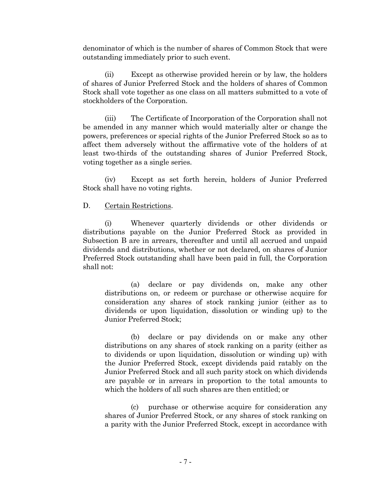denominator of which is the number of shares of Common Stock that were outstanding immediately prior to such event.

(ii) Except as otherwise provided herein or by law, the holders of shares of Junior Preferred Stock and the holders of shares of Common Stock shall vote together as one class on all matters submitted to a vote of stockholders of the Corporation.

(iii) The Certificate of Incorporation of the Corporation shall not be amended in any manner which would materially alter or change the powers, preferences or special rights of the Junior Preferred Stock so as to affect them adversely without the affirmative vote of the holders of at least two-thirds of the outstanding shares of Junior Preferred Stock, voting together as a single series.

(iv) Except as set forth herein, holders of Junior Preferred Stock shall have no voting rights.

### D. Certain Restrictions.

(i) Whenever quarterly dividends or other dividends or distributions payable on the Junior Preferred Stock as provided in Subsection B are in arrears, thereafter and until all accrued and unpaid dividends and distributions, whether or not declared, on shares of Junior Preferred Stock outstanding shall have been paid in full, the Corporation shall not:

(a) declare or pay dividends on, make any other distributions on, or redeem or purchase or otherwise acquire for consideration any shares of stock ranking junior (either as to dividends or upon liquidation, dissolution or winding up) to the Junior Preferred Stock;

(b) declare or pay dividends on or make any other distributions on any shares of stock ranking on a parity (either as to dividends or upon liquidation, dissolution or winding up) with the Junior Preferred Stock, except dividends paid ratably on the Junior Preferred Stock and all such parity stock on which dividends are payable or in arrears in proportion to the total amounts to which the holders of all such shares are then entitled; or

(c) purchase or otherwise acquire for consideration any shares of Junior Preferred Stock, or any shares of stock ranking on a parity with the Junior Preferred Stock, except in accordance with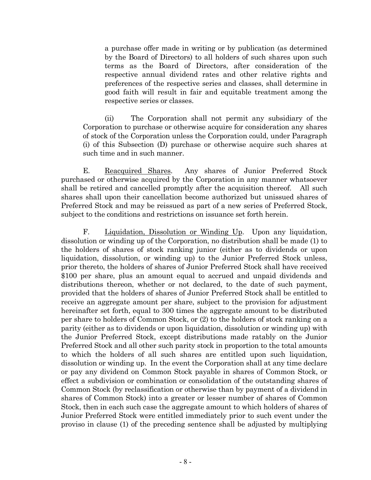a purchase offer made in writing or by publication (as determined by the Board of Directors) to all holders of such shares upon such terms as the Board of Directors, after consideration of the respective annual dividend rates and other relative rights and preferences of the respective series and classes, shall determine in good faith will result in fair and equitable treatment among the respective series or classes.

(ii) The Corporation shall not permit any subsidiary of the Corporation to purchase or otherwise acquire for consideration any shares of stock of the Corporation unless the Corporation could, under Paragraph (i) of this Subsection (D) purchase or otherwise acquire such shares at such time and in such manner.

E. Reacquired Shares. Any shares of Junior Preferred Stock purchased or otherwise acquired by the Corporation in any manner whatsoever shall be retired and cancelled promptly after the acquisition thereof. All such shares shall upon their cancellation become authorized but unissued shares of Preferred Stock and may be reissued as part of a new series of Preferred Stock, subject to the conditions and restrictions on issuance set forth herein.

F. Liquidation, Dissolution or Winding Up. Upon any liquidation, dissolution or winding up of the Corporation, no distribution shall be made (1) to the holders of shares of stock ranking junior (either as to dividends or upon liquidation, dissolution, or winding up) to the Junior Preferred Stock unless, prior thereto, the holders of shares of Junior Preferred Stock shall have received \$100 per share, plus an amount equal to accrued and unpaid dividends and distributions thereon, whether or not declared, to the date of such payment, provided that the holders of shares of Junior Preferred Stock shall be entitled to receive an aggregate amount per share, subject to the provision for adjustment hereinafter set forth, equal to 300 times the aggregate amount to be distributed per share to holders of Common Stock, or (2) to the holders of stock ranking on a parity (either as to dividends or upon liquidation, dissolution or winding up) with the Junior Preferred Stock, except distributions made ratably on the Junior Preferred Stock and all other such parity stock in proportion to the total amounts to which the holders of all such shares are entitled upon such liquidation, dissolution or winding up. In the event the Corporation shall at any time declare or pay any dividend on Common Stock payable in shares of Common Stock, or effect a subdivision or combination or consolidation of the outstanding shares of Common Stock (by reclassification or otherwise than by payment of a dividend in shares of Common Stock) into a greater or lesser number of shares of Common Stock, then in each such case the aggregate amount to which holders of shares of Junior Preferred Stock were entitled immediately prior to such event under the proviso in clause (1) of the preceding sentence shall be adjusted by multiplying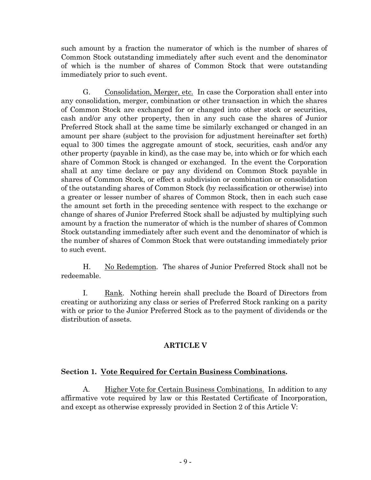such amount by a fraction the numerator of which is the number of shares of Common Stock outstanding immediately after such event and the denominator of which is the number of shares of Common Stock that were outstanding immediately prior to such event.

G. Consolidation, Merger, etc. In case the Corporation shall enter into any consolidation, merger, combination or other transaction in which the shares of Common Stock are exchanged for or changed into other stock or securities, cash and/or any other property, then in any such case the shares of Junior Preferred Stock shall at the same time be similarly exchanged or changed in an amount per share (subject to the provision for adjustment hereinafter set forth) equal to 300 times the aggregate amount of stock, securities, cash and/or any other property (payable in kind), as the case may be, into which or for which each share of Common Stock is changed or exchanged. In the event the Corporation shall at any time declare or pay any dividend on Common Stock payable in shares of Common Stock, or effect a subdivision or combination or consolidation of the outstanding shares of Common Stock (by reclassification or otherwise) into a greater or lesser number of shares of Common Stock, then in each such case the amount set forth in the preceding sentence with respect to the exchange or change of shares of Junior Preferred Stock shall be adjusted by multiplying such amount by a fraction the numerator of which is the number of shares of Common Stock outstanding immediately after such event and the denominator of which is the number of shares of Common Stock that were outstanding immediately prior to such event.

H. No Redemption. The shares of Junior Preferred Stock shall not be redeemable.

I. Rank. Nothing herein shall preclude the Board of Directors from creating or authorizing any class or series of Preferred Stock ranking on a parity with or prior to the Junior Preferred Stock as to the payment of dividends or the distribution of assets.

# **ARTICLE V**

## **Section 1. Vote Required for Certain Business Combinations.**

A. Higher Vote for Certain Business Combinations. In addition to any affirmative vote required by law or this Restated Certificate of Incorporation, and except as otherwise expressly provided in Section 2 of this Article V: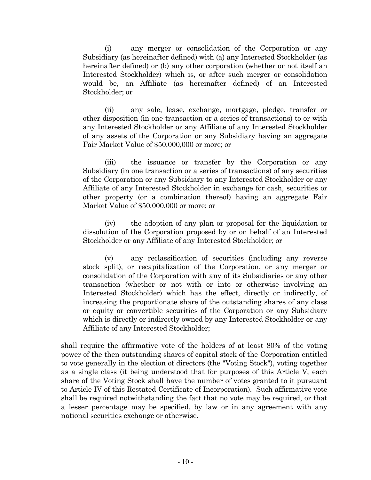(i) any merger or consolidation of the Corporation or any Subsidiary (as hereinafter defined) with (a) any Interested Stockholder (as hereinafter defined) or (b) any other corporation (whether or not itself an Interested Stockholder) which is, or after such merger or consolidation would be, an Affiliate (as hereinafter defined) of an Interested Stockholder; or

(ii) any sale, lease, exchange, mortgage, pledge, transfer or other disposition (in one transaction or a series of transactions) to or with any Interested Stockholder or any Affiliate of any Interested Stockholder of any assets of the Corporation or any Subsidiary having an aggregate Fair Market Value of \$50,000,000 or more; or

(iii) the issuance or transfer by the Corporation or any Subsidiary (in one transaction or a series of transactions) of any securities of the Corporation or any Subsidiary to any Interested Stockholder or any Affiliate of any Interested Stockholder in exchange for cash, securities or other property (or a combination thereof) having an aggregate Fair Market Value of \$50,000,000 or more; or

(iv) the adoption of any plan or proposal for the liquidation or dissolution of the Corporation proposed by or on behalf of an Interested Stockholder or any Affiliate of any Interested Stockholder; or

(v) any reclassification of securities (including any reverse stock split), or recapitalization of the Corporation, or any merger or consolidation of the Corporation with any of its Subsidiaries or any other transaction (whether or not with or into or otherwise involving an Interested Stockholder) which has the effect, directly or indirectly, of increasing the proportionate share of the outstanding shares of any class or equity or convertible securities of the Corporation or any Subsidiary which is directly or indirectly owned by any Interested Stockholder or any Affiliate of any Interested Stockholder;

shall require the affirmative vote of the holders of at least 80% of the voting power of the then outstanding shares of capital stock of the Corporation entitled to vote generally in the election of directors (the "Voting Stock"), voting together as a single class (it being understood that for purposes of this Article V, each share of the Voting Stock shall have the number of votes granted to it pursuant to Article IV of this Restated Certificate of Incorporation). Such affirmative vote shall be required notwithstanding the fact that no vote may be required, or that a lesser percentage may be specified, by law or in any agreement with any national securities exchange or otherwise.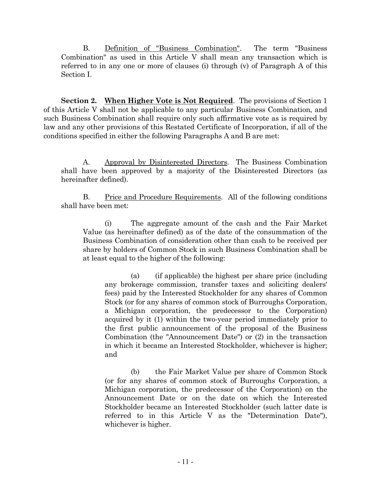B. Definition of "Business Combination". The term "Business Combination" as used in this Article V shall mean any transaction which is referred to in any one or more of clauses (i) through (v) of Paragraph A of this Section I.

**Section 2. When Higher Vote is Not Required**. The provisions of Section 1 of this Article V shall not be applicable to any particular Business Combination, and such Business Combination shall require only such affirmative vote as is required by law and any other provisions of this Restated Certificate of Incorporation, if all of the conditions specified in either the following Paragraphs A and B are met:

A. Approval by Disinterested Directors. The Business Combination shall have been approved by a majority of the Disinterested Directors (as hereinafter defined).

B. Price and Procedure Requirements. All of the following conditions shall have been met:

(i) The aggregate amount of the cash and the Fair Market Value (as hereinafter defined) as of the date of the consummation of the Business Combination of consideration other than cash to be received per share by holders of Common Stock in such Business Combination shall be at least equal to the higher of the following:

(a) (if applicable) the highest per share price (including any brokerage commission, transfer taxes and soliciting dealers' fees) paid by the Interested Stockholder for any shares of Common Stock (or for any shares of common stock of Burroughs Corporation, a Michigan corporation, the predecessor to the Corporation) acquired by it (1) within the two-year period immediately prior to the first public announcement of the proposal of the Business Combination (the "Announcement Date") or (2) in the transaction in which it became an Interested Stockholder, whichever is higher; and

(b) the Fair Market Value per share of Common Stock (or for any shares of common stock of Burroughs Corporation, a Michigan corporation, the predecessor of the Corporation) on the Announcement Date or on the date on which the Interested Stockholder became an Interested Stockholder (such latter date is referred to in this Article V as the "Determination Date"), whichever is higher.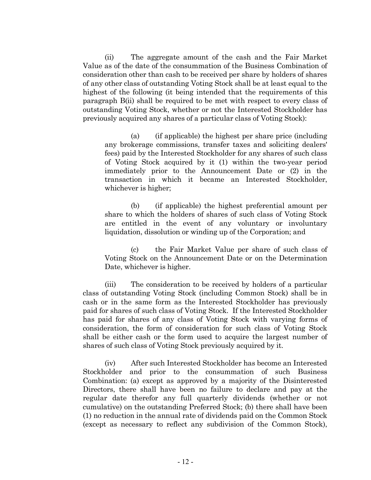(ii) The aggregate amount of the cash and the Fair Market Value as of the date of the consummation of the Business Combination of consideration other than cash to be received per share by holders of shares of any other class of outstanding Voting Stock shall be at least equal to the highest of the following (it being intended that the requirements of this paragraph B(ii) shall be required to be met with respect to every class of outstanding Voting Stock, whether or not the Interested Stockholder has previously acquired any shares of a particular class of Voting Stock):

(a) (if applicable) the highest per share price (including any brokerage commissions, transfer taxes and soliciting dealers' fees) paid by the Interested Stockholder for any shares of such class of Voting Stock acquired by it (1) within the two-year period immediately prior to the Announcement Date or (2) in the transaction in which it became an Interested Stockholder, whichever is higher;

(b) (if applicable) the highest preferential amount per share to which the holders of shares of such class of Voting Stock are entitled in the event of any voluntary or involuntary liquidation, dissolution or winding up of the Corporation; and

(c) the Fair Market Value per share of such class of Voting Stock on the Announcement Date or on the Determination Date, whichever is higher.

(iii) The consideration to be received by holders of a particular class of outstanding Voting Stock (including Common Stock) shall be in cash or in the same form as the Interested Stockholder has previously paid for shares of such class of Voting Stock. If the Interested Stockholder has paid for shares of any class of Voting Stock with varying forms of consideration, the form of consideration for such class of Voting Stock shall be either cash or the form used to acquire the largest number of shares of such class of Voting Stock previously acquired by it.

(iv) After such Interested Stockholder has become an Interested Stockholder and prior to the consummation of such Business Combination: (a) except as approved by a majority of the Disinterested Directors, there shall have been no failure to declare and pay at the regular date therefor any full quarterly dividends (whether or not cumulative) on the outstanding Preferred Stock; (b) there shall have been (1) no reduction in the annual rate of dividends paid on the Common Stock (except as necessary to reflect any subdivision of the Common Stock),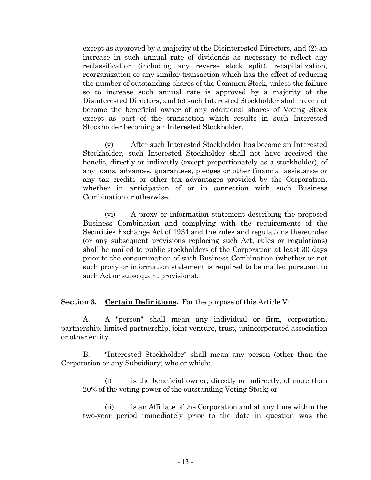except as approved by a majority of the Disinterested Directors, and (2) an increase in such annual rate of dividends as necessary to reflect any reclassification (including any reverse stock split), recapitalization, reorganization or any similar transaction which has the effect of reducing the number of outstanding shares of the Common Stock, unless the failure so to increase such annual rate is approved by a majority of the Disinterested Directors; and (c) such Interested Stockholder shall have not become the beneficial owner of any additional shares of Voting Stock except as part of the transaction which results in such Interested Stockholder becoming an Interested Stockholder.

(v) After such Interested Stockholder has become an Interested Stockholder, such Interested Stockholder shall not have received the benefit, directly or indirectly (except proportionately as a stockholder), of any loans, advances, guarantees, pledges or other financial assistance or any tax credits or other tax advantages provided by the Corporation, whether in anticipation of or in connection with such Business Combination or otherwise.

(vi) A proxy or information statement describing the proposed Business Combination and complying with the requirements of the Securities Exchange Act of 1934 and the rules and regulations thereunder (or any subsequent provisions replacing such Act, rules or regulations) shall be mailed to public stockholders of the Corporation at least 30 days prior to the consummation of such Business Combination (whether or not such proxy or information statement is required to be mailed pursuant to such Act or subsequent provisions).

**Section 3.** Certain Definitions. For the purpose of this Article V:

A. A "person" shall mean any individual or firm, corporation, partnership, limited partnership, joint venture, trust, unincorporated association or other entity.

B. "Interested Stockholder" shall mean any person (other than the Corporation or any Subsidiary) who or which:

(i) is the beneficial owner, directly or indirectly, of more than 20% of the voting power of the outstanding Voting Stock; or

(ii) is an Affiliate of the Corporation and at any time within the two-year period immediately prior to the date in question was the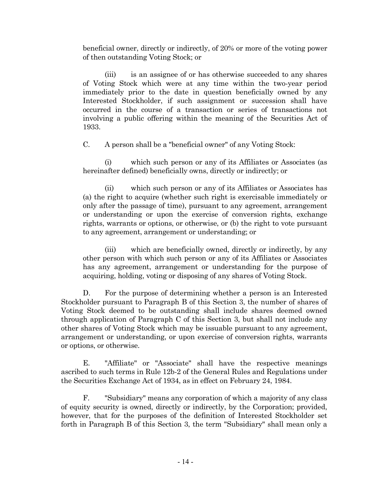beneficial owner, directly or indirectly, of 20% or more of the voting power of then outstanding Voting Stock; or

(iii) is an assignee of or has otherwise succeeded to any shares of Voting Stock which were at any time within the two-year period immediately prior to the date in question beneficially owned by any Interested Stockholder, if such assignment or succession shall have occurred in the course of a transaction or series of transactions not involving a public offering within the meaning of the Securities Act of 1933.

C. A person shall be a "beneficial owner" of any Voting Stock:

(i) which such person or any of its Affiliates or Associates (as hereinafter defined) beneficially owns, directly or indirectly; or

(ii) which such person or any of its Affiliates or Associates has (a) the right to acquire (whether such right is exercisable immediately or only after the passage of time), pursuant to any agreement, arrangement or understanding or upon the exercise of conversion rights, exchange rights, warrants or options, or otherwise, or (b) the right to vote pursuant to any agreement, arrangement or understanding; or

(iii) which are beneficially owned, directly or indirectly, by any other person with which such person or any of its Affiliates or Associates has any agreement, arrangement or understanding for the purpose of acquiring, holding, voting or disposing of any shares of Voting Stock.

D. For the purpose of determining whether a person is an Interested Stockholder pursuant to Paragraph B of this Section 3, the number of shares of Voting Stock deemed to be outstanding shall include shares deemed owned through application of Paragraph C of this Section 3, but shall not include any other shares of Voting Stock which may be issuable pursuant to any agreement, arrangement or understanding, or upon exercise of conversion rights, warrants or options, or otherwise.

E. "Affiliate" or "Associate" shall have the respective meanings ascribed to such terms in Rule 12b-2 of the General Rules and Regulations under the Securities Exchange Act of 1934, as in effect on February 24, 1984.

F. "Subsidiary" means any corporation of which a majority of any class of equity security is owned, directly or indirectly, by the Corporation; provided, however, that for the purposes of the definition of Interested Stockholder set forth in Paragraph B of this Section 3, the term "Subsidiary" shall mean only a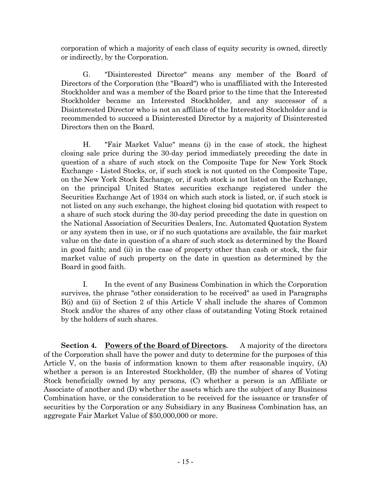corporation of which a majority of each class of equity security is owned, directly or indirectly, by the Corporation.

G. "Disinterested Director" means any member of the Board of Directors of the Corporation (the "Board") who is unaffiliated with the Interested Stockholder and was a member of the Board prior to the time that the Interested Stockholder became an Interested Stockholder, and any successor of a Disinterested Director who is not an affiliate of the Interested Stockholder and is recommended to succeed a Disinterested Director by a majority of Disinterested Directors then on the Board.

H. "Fair Market Value" means (i) in the case of stock, the highest closing sale price during the 30-day period immediately preceding the date in question of a share of such stock on the Composite Tape for New York Stock Exchange - Listed Stocks, or, if such stock is not quoted on the Composite Tape, on the New York Stock Exchange, or, if such stock is not listed on the Exchange, on the principal United States securities exchange registered under the Securities Exchange Act of 1934 on which such stock is listed, or, if such stock is not listed on any such exchange, the highest closing bid quotation with respect to a share of such stock during the 30-day period preceding the date in question on the National Association of Securities Dealers, Inc. Automated Quotation System or any system then in use, or if no such quotations are available, the fair market value on the date in question of a share of such stock as determined by the Board in good faith; and (ii) in the case of property other than cash or stock, the fair market value of such property on the date in question as determined by the Board in good faith.

I. In the event of any Business Combination in which the Corporation survives, the phrase "other consideration to be received" as used in Paragraphs B(i) and (ii) of Section 2 of this Article V shall include the shares of Common Stock and/or the shares of any other class of outstanding Voting Stock retained by the holders of such shares.

**Section 4. Powers of the Board of Directors.** A majority of the directors of the Corporation shall have the power and duty to determine for the purposes of this Article V, on the basis of information known to them after reasonable inquiry, (A) whether a person is an Interested Stockholder, (B) the number of shares of Voting Stock beneficially owned by any persons, (C) whether a person is an Affiliate or Associate of another and (D) whether the assets which are the subject of any Business Combination have, or the consideration to be received for the issuance or transfer of securities by the Corporation or any Subsidiary in any Business Combination has, an aggregate Fair Market Value of \$50,000,000 or more.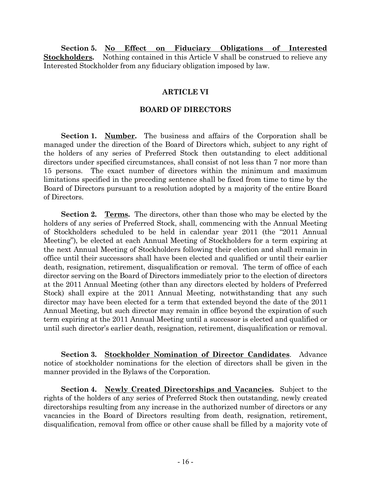**Section 5. No Effect on Fiduciary Obligations of Interested Stockholders.** Nothing contained in this Article V shall be construed to relieve any Interested Stockholder from any fiduciary obligation imposed by law.

# **ARTICLE VI**

# **BOARD OF DIRECTORS**

**Section 1. Number.** The business and affairs of the Corporation shall be managed under the direction of the Board of Directors which, subject to any right of the holders of any series of Preferred Stock then outstanding to elect additional directors under specified circumstances, shall consist of not less than 7 nor more than 15 persons. The exact number of directors within the minimum and maximum limitations specified in the preceding sentence shall be fixed from time to time by the Board of Directors pursuant to a resolution adopted by a majority of the entire Board of Directors.

**Section 2. Terms.** The directors, other than those who may be elected by the holders of any series of Preferred Stock, shall, commencing with the Annual Meeting of Stockholders scheduled to be held in calendar year 2011 (the "2011 Annual Meeting"), be elected at each Annual Meeting of Stockholders for a term expiring at the next Annual Meeting of Stockholders following their election and shall remain in office until their successors shall have been elected and qualified or until their earlier death, resignation, retirement, disqualification or removal. The term of office of each director serving on the Board of Directors immediately prior to the election of directors at the 2011 Annual Meeting (other than any directors elected by holders of Preferred Stock) shall expire at the 2011 Annual Meeting, notwithstanding that any such director may have been elected for a term that extended beyond the date of the 2011 Annual Meeting, but such director may remain in office beyond the expiration of such term expiring at the 2011 Annual Meeting until a successor is elected and qualified or until such director's earlier death, resignation, retirement, disqualification or removal.

**Section 3. Stockholder Nomination of Director Candidates**. Advance notice of stockholder nominations for the election of directors shall be given in the manner provided in the Bylaws of the Corporation.

**Section 4. Newly Created Directorships and Vacancies.** Subject to the rights of the holders of any series of Preferred Stock then outstanding, newly created directorships resulting from any increase in the authorized number of directors or any vacancies in the Board of Directors resulting from death, resignation, retirement, disqualification, removal from office or other cause shall be filled by a majority vote of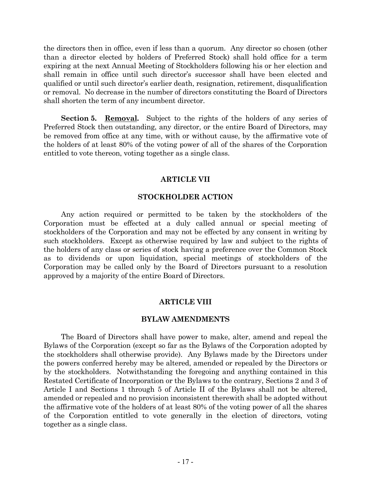the directors then in office, even if less than a quorum. Any director so chosen (other than a director elected by holders of Preferred Stock) shall hold office for a term expiring at the next Annual Meeting of Stockholders following his or her election and shall remain in office until such director's successor shall have been elected and qualified or until such director's earlier death, resignation, retirement, disqualification or removal. No decrease in the number of directors constituting the Board of Directors shall shorten the term of any incumbent director.

**Section 5. Removal.** Subject to the rights of the holders of any series of Preferred Stock then outstanding, any director, or the entire Board of Directors, may be removed from office at any time, with or without cause, by the affirmative vote of the holders of at least 80% of the voting power of all of the shares of the Corporation entitled to vote thereon, voting together as a single class.

### **ARTICLE VII**

### **STOCKHOLDER ACTION**

Any action required or permitted to be taken by the stockholders of the Corporation must be effected at a duly called annual or special meeting of stockholders of the Corporation and may not be effected by any consent in writing by such stockholders. Except as otherwise required by law and subject to the rights of the holders of any class or series of stock having a preference over the Common Stock as to dividends or upon liquidation, special meetings of stockholders of the Corporation may be called only by the Board of Directors pursuant to a resolution approved by a majority of the entire Board of Directors.

### **ARTICLE VIII**

#### **BYLAW AMENDMENTS**

The Board of Directors shall have power to make, alter, amend and repeal the Bylaws of the Corporation (except so far as the Bylaws of the Corporation adopted by the stockholders shall otherwise provide). Any Bylaws made by the Directors under the powers conferred hereby may be altered, amended or repealed by the Directors or by the stockholders. Notwithstanding the foregoing and anything contained in this Restated Certificate of Incorporation or the Bylaws to the contrary, Sections 2 and 3 of Article I and Sections 1 through 5 of Article II of the Bylaws shall not be altered, amended or repealed and no provision inconsistent therewith shall be adopted without the affirmative vote of the holders of at least 80% of the voting power of all the shares of the Corporation entitled to vote generally in the election of directors, voting together as a single class.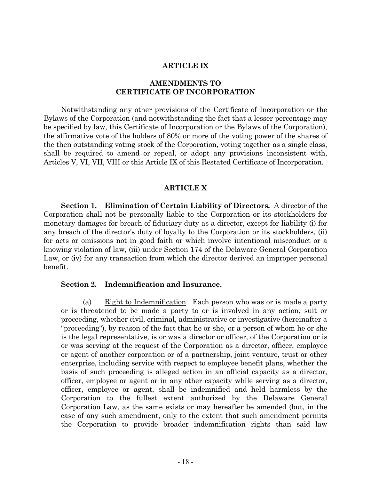#### **ARTICLE IX**

### **AMENDMENTS TO CERTIFICATE OF INCORPORATION**

Notwithstanding any other provisions of the Certificate of Incorporation or the Bylaws of the Corporation (and notwithstanding the fact that a lesser percentage may be specified by law, this Certificate of Incorporation or the Bylaws of the Corporation), the affirmative vote of the holders of 80% or more of the voting power of the shares of the then outstanding voting stock of the Corporation, voting together as a single class, shall be required to amend or repeal, or adopt any provisions inconsistent with, Articles V, VI, VII, VIII or this Article IX of this Restated Certificate of Incorporation.

### **ARTICLE X**

**Section 1. Elimination of Certain Liability of Directors.** A director of the Corporation shall not be personally liable to the Corporation or its stockholders for monetary damages for breach of fiduciary duty as a director, except for liability (i) for any breach of the director's duty of loyalty to the Corporation or its stockholders, (ii) for acts or omissions not in good faith or which involve intentional misconduct or a knowing violation of law, (iii) under Section 174 of the Delaware General Corporation Law, or (iv) for any transaction from which the director derived an improper personal benefit.

#### **Section 2. Indemnification and Insurance.**

(a) Eight to Indemnification. Each person who was or is made a party or is threatened to be made a party to or is involved in any action, suit or proceeding, whether civil, criminal, administrative or investigative (hereinafter a "proceeding"), by reason of the fact that he or she, or a person of whom he or she is the legal representative, is or was a director or officer, of the Corporation or is or was serving at the request of the Corporation as a director, officer, employee or agent of another corporation or of a partnership, joint venture, trust or other enterprise, including service with respect to employee benefit plans, whether the basis of such proceeding is alleged action in an official capacity as a director, officer, employee or agent or in any other capacity while serving as a director, officer, employee or agent, shall be indemnified and held harmless by the Corporation to the fullest extent authorized by the Delaware General Corporation Law, as the same exists or may hereafter be amended (but, in the case of any such amendment, only to the extent that such amendment permits the Corporation to provide broader indemnification rights than said law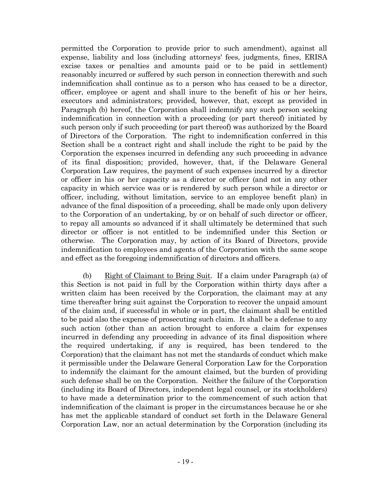permitted the Corporation to provide prior to such amendment), against all expense, liability and loss (including attorneys' fees, judgments, fines, ERISA excise taxes or penalties and amounts paid or to be paid in settlement) reasonably incurred or suffered by such person in connection therewith and such indemnification shall continue as to a person who has ceased to be a director, officer, employee or agent and shall inure to the benefit of his or her heirs, executors and administrators; provided, however, that, except as provided in Paragraph (b) hereof, the Corporation shall indemnify any such person seeking indemnification in connection with a proceeding (or part thereof) initiated by such person only if such proceeding (or part thereof) was authorized by the Board of Directors of the Corporation. The right to indemnification conferred in this Section shall be a contract right and shall include the right to be paid by the Corporation the expenses incurred in defending any such proceeding in advance of its final disposition; provided, however, that, if the Delaware General Corporation Law requires, the payment of such expenses incurred by a director or officer in his or her capacity as a director or officer (and not in any other capacity in which service was or is rendered by such person while a director or officer, including, without limitation, service to an employee benefit plan) in advance of the final disposition of a proceeding, shall be made only upon delivery to the Corporation of an undertaking, by or on behalf of such director or officer, to repay all amounts so advanced if it shall ultimately be determined that such director or officer is not entitled to be indemnified under this Section or otherwise. The Corporation may, by action of its Board of Directors, provide indemnification to employees and agents of the Corporation with the same scope and effect as the foregoing indemnification of directors and officers.

(b) Right of Claimant to Bring Suit. If a claim under Paragraph (a) of this Section is not paid in full by the Corporation within thirty days after a written claim has been received by the Corporation, the claimant may at any time thereafter bring suit against the Corporation to recover the unpaid amount of the claim and, if successful in whole or in part, the claimant shall be entitled to be paid also the expense of prosecuting such claim. It shall be a defense to any such action (other than an action brought to enforce a claim for expenses incurred in defending any proceeding in advance of its final disposition where the required undertaking, if any is required, has been tendered to the Corporation) that the claimant has not met the standards of conduct which make it permissible under the Delaware General Corporation Law for the Corporation to indemnify the claimant for the amount claimed, but the burden of providing such defense shall be on the Corporation. Neither the failure of the Corporation (including its Board of Directors, independent legal counsel, or its stockholders) to have made a determination prior to the commencement of such action that indemnification of the claimant is proper in the circumstances because he or she has met the applicable standard of conduct set forth in the Delaware General Corporation Law, nor an actual determination by the Corporation (including its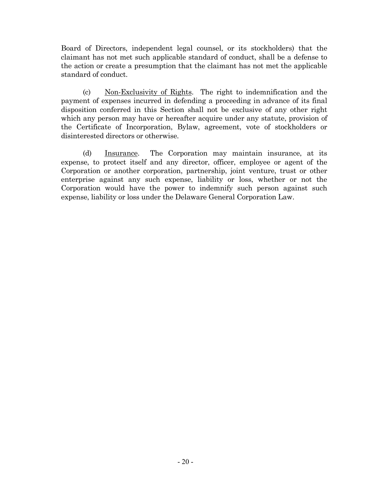Board of Directors, independent legal counsel, or its stockholders) that the claimant has not met such applicable standard of conduct, shall be a defense to the action or create a presumption that the claimant has not met the applicable standard of conduct.

(c) Non-Exclusivity of Rights. The right to indemnification and the payment of expenses incurred in defending a proceeding in advance of its final disposition conferred in this Section shall not be exclusive of any other right which any person may have or hereafter acquire under any statute, provision of the Certificate of Incorporation, Bylaw, agreement, vote of stockholders or disinterested directors or otherwise.

(d) Insurance. The Corporation may maintain insurance, at its expense, to protect itself and any director, officer, employee or agent of the Corporation or another corporation, partnership, joint venture, trust or other enterprise against any such expense, liability or loss, whether or not the Corporation would have the power to indemnify such person against such expense, liability or loss under the Delaware General Corporation Law.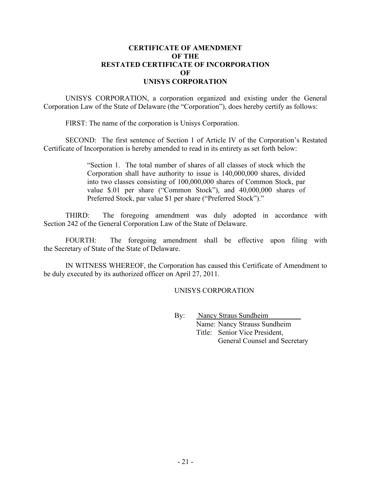### **CERTIFICATE OF AMENDMENT OF THE RESTATED CERTIFICATE OF INCORPORATION OF UNISYS CORPORATION**

UNISYS CORPORATION, a corporation organized and existing under the General Corporation Law of the State of Delaware (the "Corporation"), does hereby certify as follows:

FIRST: The name of the corporation is Unisys Corporation.

SECOND: The first sentence of Section 1 of Article IV of the Corporation's Restated Certificate of Incorporation is hereby amended to read in its entirety as set forth below:

> "Section 1. The total number of shares of all classes of stock which the Corporation shall have authority to issue is 140,000,000 shares, divided into two classes consisting of 100,000,000 shares of Common Stock, par value \$.01 per share ("Common Stock"), and 40,000,000 shares of Preferred Stock, par value \$1 per share ("Preferred Stock")."

THIRD: The foregoing amendment was duly adopted in accordance with Section 242 of the General Corporation Law of the State of Delaware.

FOURTH: The foregoing amendment shall be effective upon filing with the Secretary of State of the State of Delaware.

IN WITNESS WHEREOF, the Corporation has caused this Certificate of Amendment to be duly executed by its authorized officer on April 27, 2011.

UNISYS CORPORATION

By: Nancy Straus Sundheim Name: Nancy Strauss Sundheim Title: Senior Vice President, General Counsel and Secretary